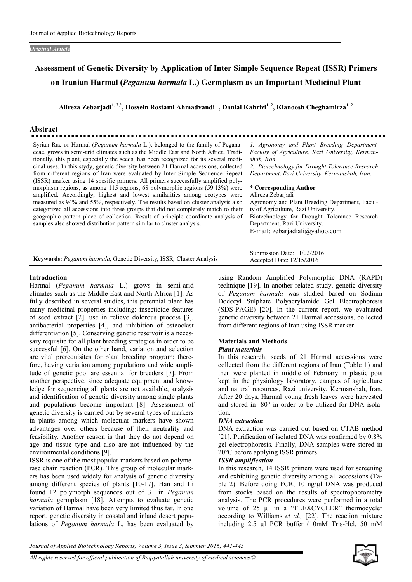## *Original Article*

# Assessment of Genetic Diversity by Application of Inter Simple Sequence Repeat (ISSR) Primers on Iranian Harmal (*Peganum harmala* L.) Germplasm as an Important Medicinal Plant

Alireza Zebarjadi<sup>1, 2,\*</sup>, Hossein Rostami Ahmadvandi<sup>1</sup> , Danial Kahrizi<sup>1, 2</sup>, Kianoosh Cheghamirza<sup>1, 2</sup>

# Abstract

Syrian Rue or Harmal (*Peganum harmala* L.), belonged to the family of Peganaceae, grows in semi-arid climates such as the Middle East and North Africa. Traditionally, this plant, especially the seeds, has been recognized for its several medicinal uses. In this stydy, genetic diversity between 21 Harmal accessions, collected from different regions of Iran were evaluated by Inter Simple Sequence Repeat (ISSR) marker using 14 spesific primers. All primers successfully amplified polymorphism regions, as among 115 regions, 68 polymorphic regions (59.13%) were amplified. Accordingly, highest and lowest similarities among ecotypes were measured as 94% and 55%, respectively. The results based on cluster analysis also categorized all accessions into three groups that did not completely match to their geographic pattern place of collection. Result of principle coordinate analysis of samples also showed distribution pattern similar to cluster analysis.

*1. Agronomy and Plant Breeding Department, Faculty of Agriculture, Razi University, Kermanshah, Iran.*

*2. Biotechnology for Drought Tolerance Research Department, Razi University, Kermanshah, Iran.*

#### \* Corresponding Author

Alireza Zebarjadi Agronomy and Plant Breeding Department, Faculty of Agriculture, Razi University. Biotechnology for Drought Tolerance Research Department, Razi University. E-mail: zebarjadiali@yahoo.com

|                                                                      | Submission Date: 11/02/2016 |
|----------------------------------------------------------------------|-----------------------------|
| Keywords: Peganum harmala, Genetic Diversity, ISSR, Cluster Analysis | Accepted Date: $12/15/2016$ |

# Introduction

Harmal (*Peganum harmala* L.) grows in semi-arid climates such as the Middle East and North Africa [1]. As fully described in several studies, this perennial plant has many medicinal properties including: insecticide features of seed extract [2], use in relieve dolorous process [3], antibacterial properties [4], and inhibition of osteoclast differentiation [5]. Conserving genetic reservoir is a necessary requisite for all plant breeding strategies in order to be successful [6]. On the other hand, variation and selection are vital prerequisites for plant breeding program; therefore, having variation among populations and wide amplitude of genetic pool are essential for breeders [7]. From another perspective, since adequate equipment and knowledge for sequencing all plants are not available, analysis and identification of genetic diversity among single plants and populations become important [8]. Assessment of genetic diversity is carried out by several types of markers in plants among which molecular markers have shown advantages over others because of their neutrality and feasibility. Another reason is that they do not depend on age and tissue type and also are not influenced by the environmental conditions [9].

ISSR is one of the most popular markers based on polymerase chain reaction (PCR). This group of molecular markers has been used widely for analysis of genetic diversity among different species of plants [10-17]. Han and Li found 12 polymorph sequences out of 31 in *Peganum harmala* germplasm [18]. Attempts to evaluate genetic variation of Harmal have been very limited thus far. In one report, genetic diversity in coastal and inland desert populations of *Peganum harmala* L. has been evaluated by

using Random Amplified Polymorphic DNA (RAPD) technique [19]. In another related study, genetic diversity of *Peganum harmala* was studied based on Sodium Dodecyl Sulphate Polyacrylamide Gel Electrophoresis (SDS-PAGE) [20]. In the current report, we evaluated genetic diversity between 21 Harmal accessions, collected from different regions of Iran using ISSR marker.

# Materials and Methods

# *Plant materials*

In this research, seeds of 21 Harmal accessions were collected from the different regions of Iran (Table 1) and then were planted in middle of February in plastic pots kept in the physiology laboratory, campus of agriculture and natural resources, Razi university, Kermanshah, Iran. After 20 days, Harmal young fresh leaves were harvested and stored in -80° in order to be utilized for DNA isolation.

# *DNA extraction*

DNA extraction was carried out based on CTAB method [21]. Purification of isolated DNA was confirmed by  $0.8\%$ gel electrophoresis. Finally, DNA samples were stored in 20°C before applying ISSR primers.

# *ISSR amplification*

In this research, 14 ISSR primers were used for screening and exhibiting genetic diversity among all accessions (Table 2). Before doing PCR, 10 ng/µl DNA was produced from stocks based on the results of spectrophotometry analysis. The PCR procedures were performed in a total volume of 25 µl in a "FLEXCYCLER" thermocycler according to Williams *et al.,* [22]. The reaction mixture including 2.5 µl PCR buffer (10mM Tris-Hcl, 50 mM

*Journal of Applied Biotechnology Reports, Volume 3, Issue 3, Summer 2016; 441-445*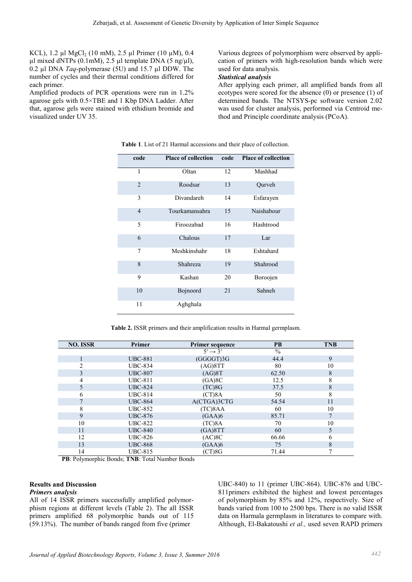KCL), 1.2 µl MgCl<sub>2</sub> (10 mM), 2.5 µl Primer (10 µM), 0.4  $\mu$ l mixed dNTPs (0.1mM), 2.5  $\mu$ l template DNA (5 ng/ $\mu$ l), 0.2 µl DNA *Taq*-polymerase (5U) and 15.7 µl DDW. The number of cycles and their thermal conditions differed for each primer.

Amplified products of PCR operations were run in 1.2% agarose gels with 0.5×TBE and 1 Kbp DNA Ladder. After that, agarose gels were stained with ethidium bromide and visualized under UV 35.

Various degrees of polymorphism were observed by application of primers with high-resolution bands which were used for data analysis.

### *Statistical analysis*

After applying each primer, all amplified bands from all ecotypes were scored for the absence (0) or presence (1) of determined bands. The NTSYS-pc software version 2.02 was used for cluster analysis, performed via Centroid method and Principle coordinate analysis (PCoA).

| code           | <b>Place of collection</b> | code | <b>Place of collection</b> |
|----------------|----------------------------|------|----------------------------|
| 1              | Oltan                      | 12   | Mashhad                    |
| $\overline{c}$ | Roodsar                    | 13   | Qurveh                     |
| 3              | Divandareh                 | 14   | Esfarayen                  |
| 4              | Tourkamansahra             | 15   | Naishabour                 |
| 5              | Firoozabad                 | 16   | Hashtrood                  |
| 6              | Chalous                    | 17   | Lar                        |
| 7              | Meshkinshahr               | 18   | Eshtahard                  |
| 8              | Shahreza                   | 19   | Shahrood                   |
| 9              | Kashan                     | 20   | Boroojen                   |
| 10             | Bojnoord                   | 21   | Sahneh                     |
| 11             | Aghghala                   |      |                            |

Table 1. List of 21 Harmal accessions and their place of collection.

Table 2. ISSR primers and their amplification results in Harmal germplasm.

| <b>NO. ISSR</b> | Primer         | <b>Primer sequence</b> | <b>PB</b>     | <b>TNB</b>     |
|-----------------|----------------|------------------------|---------------|----------------|
|                 |                | $5' \rightarrow 3'$    | $\frac{0}{0}$ |                |
|                 | <b>UBC-881</b> | $(GGGGT)$ 3G           | 44.4          | 9              |
| $\mathfrak{D}$  | <b>UBC-834</b> | (AG)8TT                | 80            | 10             |
| 3               | <b>UBC-807</b> | (AG)8T                 | 62.50         | 8              |
| 4               | <b>UBC-811</b> | (GA)8C                 | 12.5          | 8              |
| 5               | <b>UBC-824</b> | (TC)8G                 | 37.5          | 8              |
| 6               | <b>UBC-814</b> | $(CT)$ 8A              | 50            | 8              |
|                 | <b>UBC-864</b> | A(CTGA)3CTG            | 54.54         | 11             |
| 8               | <b>UBC-852</b> | (TC)8AA                | 60            | 10             |
| 9               | <b>UBC-876</b> | (GAA)6                 | 85.71         | $\overline{ }$ |
| 10              | <b>UBC-822</b> | (TC)8A                 | 70            | 10             |
| 11              | <b>UBC-840</b> | (GA)8TT                | 60            |                |
| 12              | <b>UBC-826</b> | (AC)8C                 | 66.66         | 6              |
| 13              | <b>UBC-868</b> | (GAA)6                 | 75            | 8              |
| 14              | <b>UBC-815</b> | $(CT)$ 8G              | 71.44         | 7              |

PB: Polymorphic Bonds; TNB: Total Number Bonds

## Results and Discussion

# *Primers analysis*

All of 14 ISSR primers successfully amplified polymorphism regions at different levels (Table 2). The all ISSR primers amplified 68 polymorphic bands out of 115 (59.13%). The number of bands ranged from five (primer

UBC-840) to 11 (primer UBC-864). UBC-876 and UBC-811primers exhibited the highest and lowest percentages of polymorphism by 85% and 12%, respectively. Size of bands varied from 100 to 2500 bps. There is no valid ISSR data on Harmala germplasm in literatures to compare with. Although, El-Bakatoushi *et al.,* used seven RAPD primers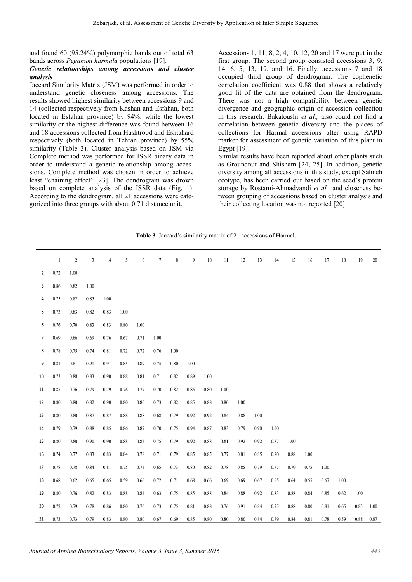and found 60 (95.24%) polymorphic bands out of total 63 bands across *Peganum harmala* populations [19].

## *Genetic relationships among accessions and cluster analysis*

Jaccard Similarity Matrix (JSM) was performed in order to understand genetic closeness among accessions. The results showed highest similarity between accessions 9 and 14 (collected respectively from Kashan and Esfahan, both located in Esfahan province) by 94%, while the lowest similarity or the highest difference was found between 16 and 18 accessions collected from Hashtrood and Eshtahard respectively (both located in Tehran province) by 55% similarity (Table 3). Cluster analysis based on JSM via Complete method was performed for ISSR binary data in order to understand a genetic relationship among accessions. Complete method was chosen in order to achieve least "chaining effect" [23]. The dendrogram was drown based on complete analysis of the ISSR data (Fig. 1). According to the dendrogram, all 21 accessions were categorized into three groups with about 0.71 distance unit.

Accessions 1, 11, 8, 2, 4, 10, 12, 20 and 17 were put in the first group. The second group consisted accessions 3, 9, 14, 6, 5, 13, 19, and 16. Finally, accessions 7 and 18 occupied third group of dendrogram. The cophenetic correlation coefficient was 0.88 that shows a relatively good fit of the data are obtained from the dendrogram. There was not a high compatibility between genetic divergence and geographic origin of accession collection in this research. Bakatoushi *et al.,* also could not find a correlation between genetic diversity and the places of collections for Harmal accessions after using RAPD marker for assessment of genetic variation of this plant in Egypt [19].

Similar results have been reported about other plants such as Groundnut and Shisham [24, 25]. In addition, genetic diversity among all accessions in this study, except Sahneh ecotype, has been carried out based on the seed's protein storage by Rostami-Ahmadvandi *et al.,* and closeness between grouping of accessions based on cluster analysis and their collecting location was not reported [20].

|  |  |  |  |  | <b>Table 3.</b> Jaccard's similarity matrix of 21 accessions of Harmal. |  |
|--|--|--|--|--|-------------------------------------------------------------------------|--|
|  |  |  |  |  |                                                                         |  |

|                | $\mathbf{1}$ | $\boldsymbol{2}$ | 3    | 4    | 5    | 6    | 7    | 8    | 9    | $10$ | 11   | 12   | 13   | 14   | 15   | 16   | 17   | 18   | 19   | 20   |
|----------------|--------------|------------------|------|------|------|------|------|------|------|------|------|------|------|------|------|------|------|------|------|------|
| $\overline{2}$ | 0.72         | 1.00             |      |      |      |      |      |      |      |      |      |      |      |      |      |      |      |      |      |      |
| 3              | 0.86         | 0.82             | 1.00 |      |      |      |      |      |      |      |      |      |      |      |      |      |      |      |      |      |
| 4              | 0.75         | 0.82             | 0.85 | 1.00 |      |      |      |      |      |      |      |      |      |      |      |      |      |      |      |      |
| 5              | 0.73         | 0.83             | 0.82 | 0.83 | 1.00 |      |      |      |      |      |      |      |      |      |      |      |      |      |      |      |
| 6              | 0.76         | 0.70             | 0.83 | 0.83 | 0.80 | 1.00 |      |      |      |      |      |      |      |      |      |      |      |      |      |      |
| 7              | 0.69         | 0.66             | 0.69 | 0.76 | 0.67 | 0.71 | 1.00 |      |      |      |      |      |      |      |      |      |      |      |      |      |
| 8              | 0.78         | 0.75             | 0.74 | 0.81 | 0.72 | 0.72 | 0.76 | 1.00 |      |      |      |      |      |      |      |      |      |      |      |      |
| 9              | 0.81         | 0.81             | 0.91 | 0.91 | 0.85 | 0.89 | 0.75 | 0.80 | 1.00 |      |      |      |      |      |      |      |      |      |      |      |
| 10             | 0.73         | 0.88             | 0.83 | 0.90 | 0.88 | 0.81 | 0.71 | 0.82 | 0.89 | 1.00 |      |      |      |      |      |      |      |      |      |      |
| 11             | 0.87         | 0.76             | 0.79 | 0.79 | 0.76 | 0.77 | 0.70 | 0.82 | 0.85 | 0.80 | 1.00 |      |      |      |      |      |      |      |      |      |
| 12             | 0.80         | 0.80             | 0.82 | 0.90 | 0.80 | 0.80 | 0.73 | 0.82 | 0.85 | 0.88 | 0.80 | 1.00 |      |      |      |      |      |      |      |      |
| 13             | 0.80         | 0.80             | 0.87 | 0.87 | 0.88 | 0.88 | 0.68 | 0.79 | 0.92 | 0.92 | 0.84 | 0.88 | 1.00 |      |      |      |      |      |      |      |
| 14             | 0.79         | 0.79             | 0.88 | 0.85 | 0.86 | 0.87 | 0.70 | 0.75 | 0.94 | 0.87 | 0.83 | 0.79 | 0.90 | 1.00 |      |      |      |      |      |      |
| 15             | 0.80         | 0.80             | 0.90 | 0.90 | 0.88 | 0.85 | 0.75 | 0.79 | 0.92 | 0.88 | 0.81 | 0.92 | 0.92 | 0.87 | 1.00 |      |      |      |      |      |
| 16             | 0.74         | 0.77             | 0.83 | 0.83 | 0.84 | 0.78 | 0.71 | 0.79 | 0.85 | 0.85 | 0.77 | 0.81 | 0.85 | 0.80 | 0.88 | 1.00 |      |      |      |      |
| 17             | 0.78         | 0.78             | 0.84 | 0.81 | 0.75 | 0.75 | 0.65 | 0.73 | 0.80 | 0.82 | 0.78 | 0.85 | 0.79 | 0.77 | 0.79 | 0.75 | 1.00 |      |      |      |
| 18             | 0.68         | 0.62             | 0.65 | 0.65 | 0.59 | 0.66 | 0.72 | 0.71 | 0.68 | 0.66 | 0.69 | 0.69 | 0.67 | 0.65 | 0.64 | 0.55 | 0.67 | 1.00 |      |      |
| 19             | 0.80         | 0.76             | 0.82 | 0.83 | 0.88 | 0.84 | 0.63 | 0.75 | 0.85 | 0.88 | 0.84 | 0.88 | 0.92 | 0.83 | 0.88 | 0.84 | 0.85 | 0.62 | 1.00 |      |
| 20             | 0.72         | 0.79             | 0.78 | 0.86 | 0.80 | 0.76 | 0.73 | 0.75 | 0.81 | 0.88 | 0.76 | 0.91 | 0.84 | 0.75 | 0.88 | 0.80 | 0.81 | 0.65 | 0.83 | 1.00 |
| 21             | 0.73         | 0.73             | 0.79 | 0.83 | 0.80 | 0.80 | 0.67 | 0.69 | 0.85 | 0.80 | 0.80 | 0.80 | 0.84 | 0.79 | 0.84 | 0.81 | 0.78 | 0.59 | 0.88 | 0.87 |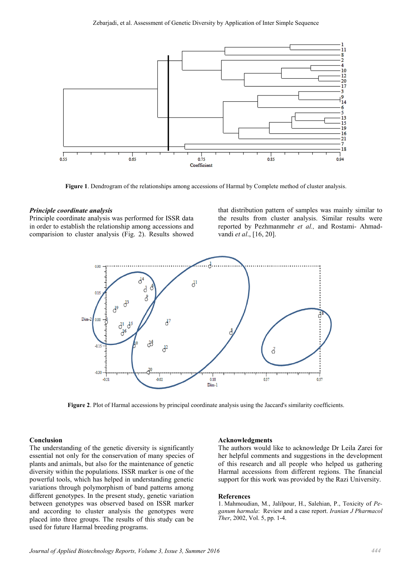

Figure 1. Dendrogram of the relationships among accessions of Harmal by Complete method of cluster analysis.

#### *Principle coordinate analysis*

Principle coordinate analysis was performed for ISSR data in order to establish the relationship among accessions and comparision to cluster analysis (Fig. 2). Results showed

that distribution pattern of samples was mainly similar to the results from cluster analysis. Similar results were reported by Pezhmanmehr *et al.,* and Rostami- Ahmadvandi *et al*., [16, 20].



Figure 2. Plot of Harmal accessions by principal coordinate analysis using the Jaccard's similarity coefficients.

#### Conclusion

The understanding of the genetic diversity is significantly essential not only for the conservation of many species of plants and animals, but also for the maintenance of genetic diversity within the populations. ISSR marker is one of the powerful tools, which has helped in understanding genetic variations through polymorphism of band patterns among different genotypes. In the present study, genetic variation between genotypes was observed based on ISSR marker and according to cluster analysis the genotypes were placed into three groups. The results of this study can be used for future Harmal breeding programs.

#### Acknowledgments

The authors would like to acknowledge Dr Leila Zarei for her helpful comments and suggestions in the development of this research and all people who helped us gathering Harmal accessions from different regions. The financial support for this work was provided by the Razi University.

#### References

1. Mahmoudian, M., Jalilpour, H., Salehian, P., Toxicity of *Peganum harmala*: Review and a case report. *Iranian J Pharmacol Ther*, 2002, Vol. 5, pp. 1-4.